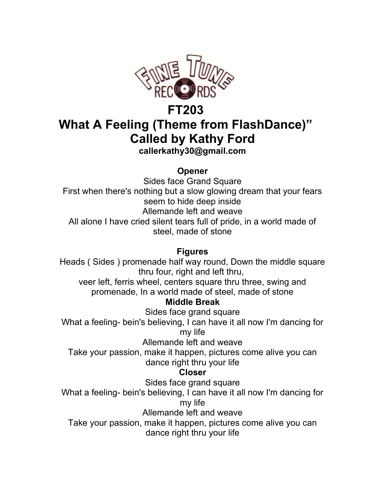

## **FT203**

# **What A Feeling (Theme from FlashDance)" Called by Kathy Ford**

**callerkathy30@gmail.com**

#### **Opener**

Sides face Grand Square First when there's nothing but a slow glowing dream that your fears seem to hide deep inside Allemande left and weave All alone I have cried silent tears full of pride, in a world made of steel, made of stone

#### **Figures**

Heads ( Sides ) promenade half way round, Down the middle square thru four, right and left thru,

veer left, ferris wheel, centers square thru three, swing and promenade, In a world made of steel, made of stone

### **Middle Break**

Sides face grand square

What a feeling- bein's believing, I can have it all now I'm dancing for my life

Allemande left and weave

Take your passion, make it happen, pictures come alive you can dance right thru your life

#### **Closer**

Sides face grand square

What a feeling- bein's believing, I can have it all now I'm dancing for my life

Allemande left and weave

Take your passion, make it happen, pictures come alive you can dance right thru your life